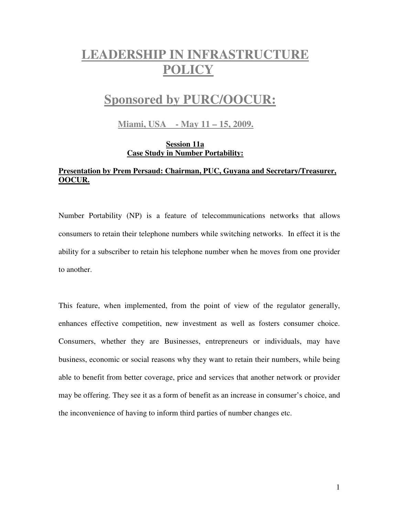# **LEADERSHIP IN INFRASTRUCTURE POLICY**

## **Sponsored by PURC/OOCUR:**

 **Miami, USA - May 11 – 15, 2009.**

### **Session 11a Case Study in Number Portability:**

## **Presentation by Prem Persaud: Chairman, PUC, Guyana and Secretary/Treasurer, OOCUR.**

Number Portability (NP) is a feature of telecommunications networks that allows consumers to retain their telephone numbers while switching networks. In effect it is the ability for a subscriber to retain his telephone number when he moves from one provider to another.

This feature, when implemented, from the point of view of the regulator generally, enhances effective competition, new investment as well as fosters consumer choice. Consumers, whether they are Businesses, entrepreneurs or individuals, may have business, economic or social reasons why they want to retain their numbers, while being able to benefit from better coverage, price and services that another network or provider may be offering. They see it as a form of benefit as an increase in consumer's choice, and the inconvenience of having to inform third parties of number changes etc.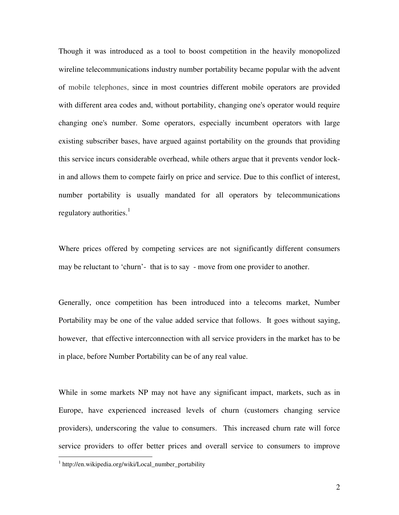Though it was introduced as a tool to boost competition in the heavily monopolized wireline telecommunications industry number portability became popular with the advent of mobile telephones, since in most countries different mobile operators are provided with different area codes and, without portability, changing one's operator would require changing one's number. Some operators, especially incumbent operators with large existing subscriber bases, have argued against portability on the grounds that providing this service incurs considerable overhead, while others argue that it prevents vendor lockin and allows them to compete fairly on price and service. Due to this conflict of interest, number portability is usually mandated for all operators by telecommunications regulatory authorities.<sup>1</sup>

Where prices offered by competing services are not significantly different consumers may be reluctant to 'churn'- that is to say - move from one provider to another.

Generally, once competition has been introduced into a telecoms market, Number Portability may be one of the value added service that follows. It goes without saying, however, that effective interconnection with all service providers in the market has to be in place, before Number Portability can be of any real value.

While in some markets NP may not have any significant impact, markets, such as in Europe, have experienced increased levels of churn (customers changing service providers), underscoring the value to consumers. This increased churn rate will force service providers to offer better prices and overall service to consumers to improve

 $\overline{a}$ 

<sup>1</sup> http://en.wikipedia.org/wiki/Local\_number\_portability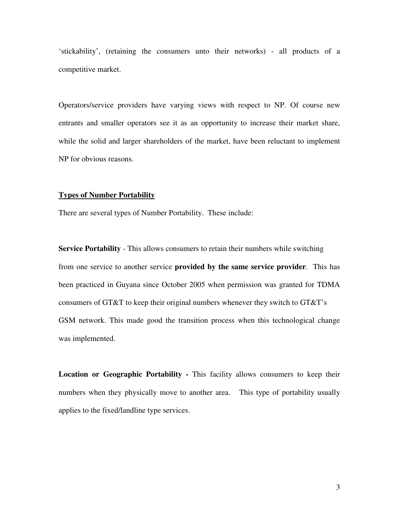'stickability', (retaining the consumers unto their networks) - all products of a competitive market.

Operators/service providers have varying views with respect to NP. Of course new entrants and smaller operators see it as an opportunity to increase their market share, while the solid and larger shareholders of the market, have been reluctant to implement NP for obvious reasons.

#### **Types of Number Portability**

There are several types of Number Portability. These include:

**Service Portability** - This allows consumers to retain their numbers while switching from one service to another service **provided by the same service provider**. This has been practiced in Guyana since October 2005 when permission was granted for TDMA consumers of GT&T to keep their original numbers whenever they switch to GT&T's GSM network. This made good the transition process when this technological change was implemented.

**Location or Geographic Portability -** This facility allows consumers to keep their numbers when they physically move to another area. This type of portability usually applies to the fixed/landline type services.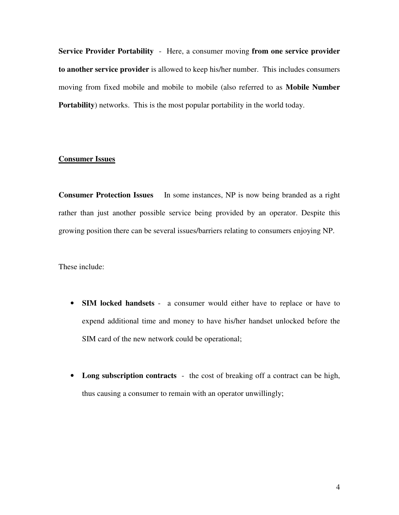**Service Provider Portability** - Here, a consumer moving **from one service provider to another service provider** is allowed to keep his/her number. This includes consumers moving from fixed mobile and mobile to mobile (also referred to as **Mobile Number Portability**) networks. This is the most popular portability in the world today.

## **Consumer Issues**

**Consumer Protection Issues** In some instances, NP is now being branded as a right rather than just another possible service being provided by an operator. Despite this growing position there can be several issues/barriers relating to consumers enjoying NP.

These include:

- **SIM locked handsets** a consumer would either have to replace or have to expend additional time and money to have his/her handset unlocked before the SIM card of the new network could be operational;
- **Long subscription contracts** the cost of breaking off a contract can be high, thus causing a consumer to remain with an operator unwillingly;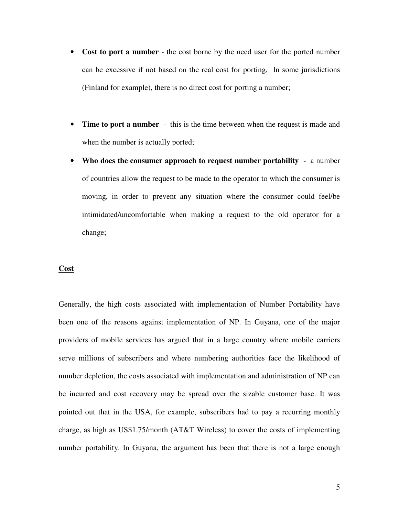- **Cost to port a number** the cost borne by the need user for the ported number can be excessive if not based on the real cost for porting. In some jurisdictions (Finland for example), there is no direct cost for porting a number;
- **Time to port a number** this is the time between when the request is made and when the number is actually ported;
- **Who does the consumer approach to request number portability**  a number of countries allow the request to be made to the operator to which the consumer is moving, in order to prevent any situation where the consumer could feel/be intimidated/uncomfortable when making a request to the old operator for a change;

#### **Cost**

Generally, the high costs associated with implementation of Number Portability have been one of the reasons against implementation of NP. In Guyana, one of the major providers of mobile services has argued that in a large country where mobile carriers serve millions of subscribers and where numbering authorities face the likelihood of number depletion, the costs associated with implementation and administration of NP can be incurred and cost recovery may be spread over the sizable customer base. It was pointed out that in the USA, for example, subscribers had to pay a recurring monthly charge, as high as US\$1.75/month (AT&T Wireless) to cover the costs of implementing number portability. In Guyana, the argument has been that there is not a large enough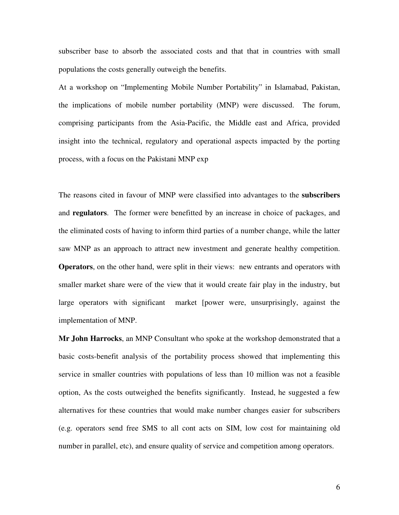subscriber base to absorb the associated costs and that that in countries with small populations the costs generally outweigh the benefits.

At a workshop on "Implementing Mobile Number Portability" in Islamabad, Pakistan, the implications of mobile number portability (MNP) were discussed. The forum, comprising participants from the Asia-Pacific, the Middle east and Africa, provided insight into the technical, regulatory and operational aspects impacted by the porting process, with a focus on the Pakistani MNP exp

The reasons cited in favour of MNP were classified into advantages to the **subscribers**  and **regulators**. The former were benefitted by an increase in choice of packages, and the eliminated costs of having to inform third parties of a number change, while the latter saw MNP as an approach to attract new investment and generate healthy competition. **Operators**, on the other hand, were split in their views: new entrants and operators with smaller market share were of the view that it would create fair play in the industry, but large operators with significant market [power were, unsurprisingly, against the implementation of MNP.

**Mr John Harrocks**, an MNP Consultant who spoke at the workshop demonstrated that a basic costs-benefit analysis of the portability process showed that implementing this service in smaller countries with populations of less than 10 million was not a feasible option, As the costs outweighed the benefits significantly. Instead, he suggested a few alternatives for these countries that would make number changes easier for subscribers (e.g. operators send free SMS to all cont acts on SIM, low cost for maintaining old number in parallel, etc), and ensure quality of service and competition among operators.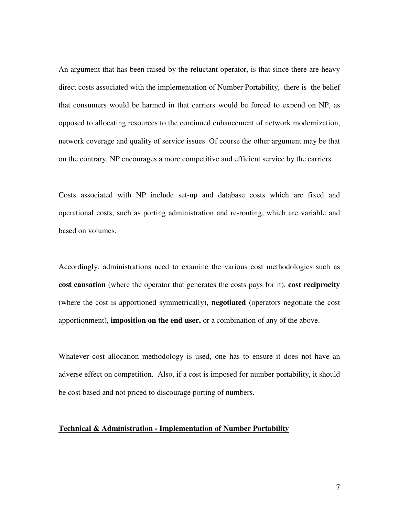An argument that has been raised by the reluctant operator, is that since there are heavy direct costs associated with the implementation of Number Portability, there is the belief that consumers would be harmed in that carriers would be forced to expend on NP, as opposed to allocating resources to the continued enhancement of network modernization, network coverage and quality of service issues. Of course the other argument may be that on the contrary, NP encourages a more competitive and efficient service by the carriers.

Costs associated with NP include set-up and database costs which are fixed and operational costs, such as porting administration and re-routing, which are variable and based on volumes.

Accordingly, administrations need to examine the various cost methodologies such as **cost causation** (where the operator that generates the costs pays for it), **cost reciprocity** (where the cost is apportioned symmetrically), **negotiated** (operators negotiate the cost apportionment), **imposition on the end user,** or a combination of any of the above.

Whatever cost allocation methodology is used, one has to ensure it does not have an adverse effect on competition. Also, if a cost is imposed for number portability, it should be cost based and not priced to discourage porting of numbers.

#### **Technical & Administration - Implementation of Number Portability**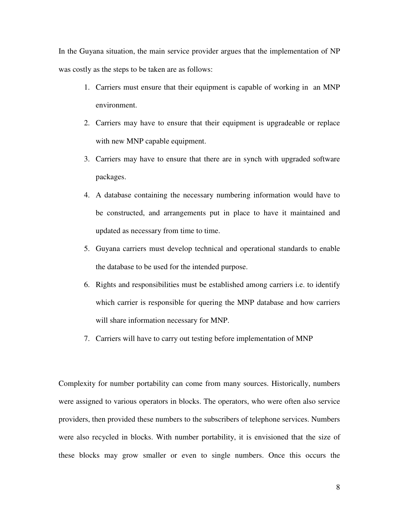In the Guyana situation, the main service provider argues that the implementation of NP was costly as the steps to be taken are as follows:

- 1. Carriers must ensure that their equipment is capable of working in an MNP environment.
- 2. Carriers may have to ensure that their equipment is upgradeable or replace with new MNP capable equipment.
- 3. Carriers may have to ensure that there are in synch with upgraded software packages.
- 4. A database containing the necessary numbering information would have to be constructed, and arrangements put in place to have it maintained and updated as necessary from time to time.
- 5. Guyana carriers must develop technical and operational standards to enable the database to be used for the intended purpose.
- 6. Rights and responsibilities must be established among carriers i.e. to identify which carrier is responsible for quering the MNP database and how carriers will share information necessary for MNP.
- 7. Carriers will have to carry out testing before implementation of MNP

Complexity for number portability can come from many sources. Historically, numbers were assigned to various operators in blocks. The operators, who were often also service providers, then provided these numbers to the subscribers of telephone services. Numbers were also recycled in blocks. With number portability, it is envisioned that the size of these blocks may grow smaller or even to single numbers. Once this occurs the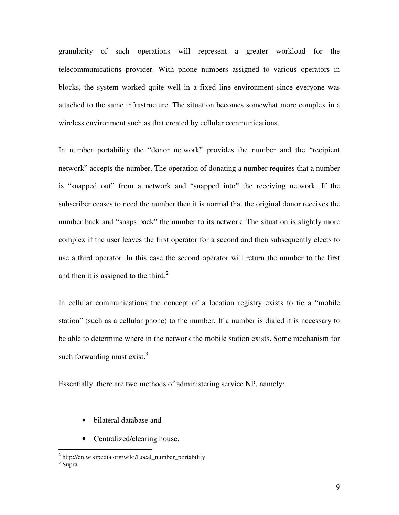granularity of such operations will represent a greater workload for the telecommunications provider. With phone numbers assigned to various operators in blocks, the system worked quite well in a fixed line environment since everyone was attached to the same infrastructure. The situation becomes somewhat more complex in a wireless environment such as that created by cellular communications.

In number portability the "donor network" provides the number and the "recipient network" accepts the number. The operation of donating a number requires that a number is "snapped out" from a network and "snapped into" the receiving network. If the subscriber ceases to need the number then it is normal that the original donor receives the number back and "snaps back" the number to its network. The situation is slightly more complex if the user leaves the first operator for a second and then subsequently elects to use a third operator. In this case the second operator will return the number to the first and then it is assigned to the third.<sup>2</sup>

In cellular communications the concept of a location registry exists to tie a "mobile station" (such as a cellular phone) to the number. If a number is dialed it is necessary to be able to determine where in the network the mobile station exists. Some mechanism for such forwarding must exist. $3$ 

Essentially, there are two methods of administering service NP, namely:

- bilateral database and
- Centralized/clearing house.

 2 http://en.wikipedia.org/wiki/Local\_number\_portability

<sup>&</sup>lt;sup>3</sup> Supra.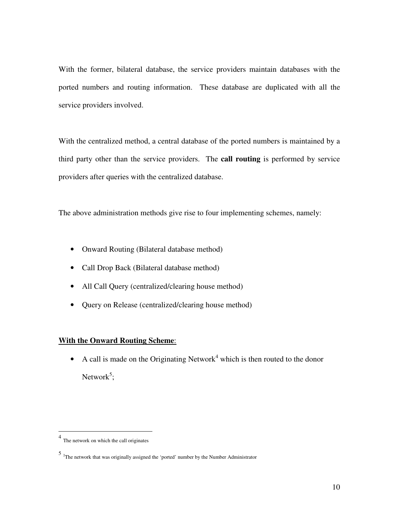With the former, bilateral database, the service providers maintain databases with the ported numbers and routing information. These database are duplicated with all the service providers involved.

With the centralized method, a central database of the ported numbers is maintained by a third party other than the service providers. The **call routing** is performed by service providers after queries with the centralized database.

The above administration methods give rise to four implementing schemes, namely:

- Onward Routing (Bilateral database method)
- Call Drop Back (Bilateral database method)
- All Call Query (centralized/clearing house method)
- Ouery on Release (centralized/clearing house method)

## **With the Onward Routing Scheme**:

• A call is made on the Originating Network<sup>4</sup> which is then routed to the donor Network<sup>5</sup>;

 4 The network on which the call originates

<sup>5</sup> <sup>2</sup>The network that was originally assigned the 'ported' number by the Number Administrator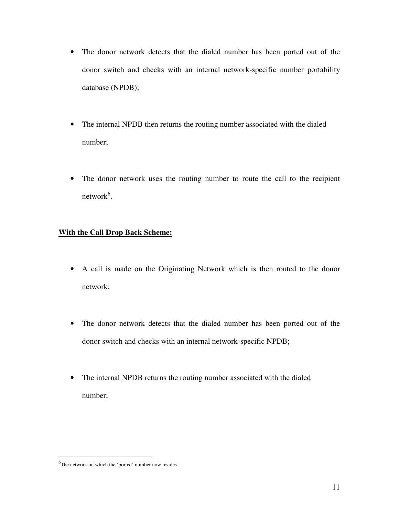- The donor network detects that the dialed number has been ported out of the donor switch and checks with an internal network-specific number portability database (NPDB);
- The internal NPDB then returns the routing number associated with the dialed number;
- The donor network uses the routing number to route the call to the recipient network $6$ .

## **With the Call Drop Back Scheme:**

- A call is made on the Originating Network which is then routed to the donor network;
- The donor network detects that the dialed number has been ported out of the donor switch and checks with an internal network-specific NPDB;
- The internal NPDB returns the routing number associated with the dialed number;

 $\overline{a}$ 

<sup>&</sup>lt;sup>6</sup>The network on which the 'ported' number now resides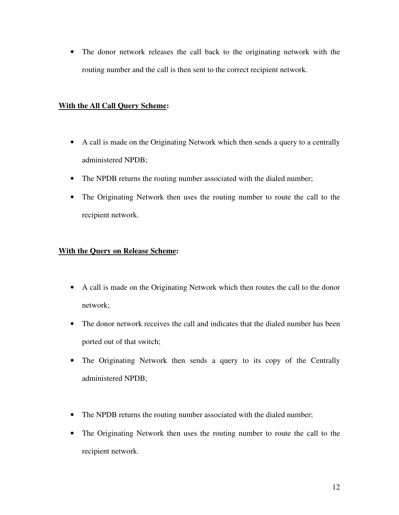• The donor network releases the call back to the originating network with the routing number and the call is then sent to the correct recipient network.

## **With the All Call Query Scheme:**

- A call is made on the Originating Network which then sends a query to a centrally administered NPDB;
- The NPDB returns the routing number associated with the dialed number;
- The Originating Network then uses the routing number to route the call to the recipient network.

## **With the Query on Release Scheme:**

- A call is made on the Originating Network which then routes the call to the donor network;
- The donor network receives the call and indicates that the dialed number has been ported out of that switch;
- The Originating Network then sends a query to its copy of the Centrally administered NPDB;
- The NPDB returns the routing number associated with the dialed number;
- The Originating Network then uses the routing number to route the call to the recipient network.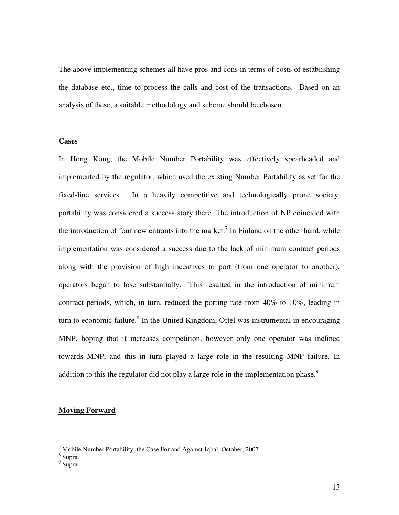The above implementing schemes all have pros and cons in terms of costs of establishing the database etc., time to process the calls and cost of the transactions. Based on an analysis of these, a suitable methodology and scheme should be chosen.

#### **Cases**

In Hong Kong, the Mobile Number Portability was effectively spearheaded and implemented by the regulator, which used the existing Number Portability as set for the fixed-line services. In a heavily competitive and technologically prone society, portability was considered a success story there. The introduction of NP coincided with the introduction of four new entrants into the market.<sup>7</sup> In Finland on the other hand, while implementation was considered a success due to the lack of minimum contract periods along with the provision of high incentives to port (from one operator to another), operators began to lose substantially. This resulted in the introduction of minimum contract periods, which, in turn, reduced the porting rate from 40% to 10%, leading in turn to economic failure.<sup>8</sup> In the United Kingdom, Oftel was instrumental in encouraging MNP, hoping that it increases competition, however only one operator was inclined towards MNP, and this in turn played a large role in the resulting MNP failure. In addition to this the regulator did not play a large role in the implementation phase.<sup>9</sup>

#### **Moving Forward**

 7 Mobile Number Portability: the Case For and Against-Iqbal, October, 2007 8 Supra.

<sup>&</sup>lt;sup>9</sup> Supra.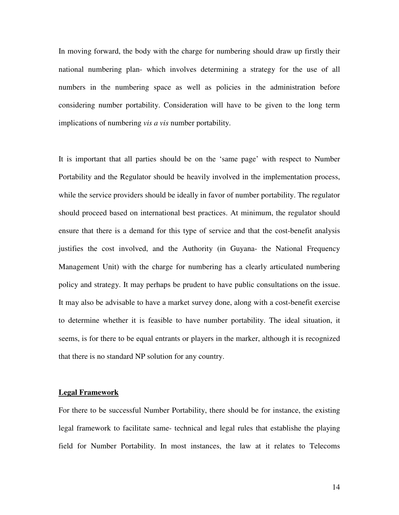In moving forward, the body with the charge for numbering should draw up firstly their national numbering plan- which involves determining a strategy for the use of all numbers in the numbering space as well as policies in the administration before considering number portability. Consideration will have to be given to the long term implications of numbering *vis a vis* number portability.

It is important that all parties should be on the 'same page' with respect to Number Portability and the Regulator should be heavily involved in the implementation process, while the service providers should be ideally in favor of number portability. The regulator should proceed based on international best practices. At minimum, the regulator should ensure that there is a demand for this type of service and that the cost-benefit analysis justifies the cost involved, and the Authority (in Guyana- the National Frequency Management Unit) with the charge for numbering has a clearly articulated numbering policy and strategy. It may perhaps be prudent to have public consultations on the issue. It may also be advisable to have a market survey done, along with a cost-benefit exercise to determine whether it is feasible to have number portability. The ideal situation, it seems, is for there to be equal entrants or players in the marker, although it is recognized that there is no standard NP solution for any country.

#### **Legal Framework**

For there to be successful Number Portability, there should be for instance, the existing legal framework to facilitate same- technical and legal rules that establishe the playing field for Number Portability. In most instances, the law at it relates to Telecoms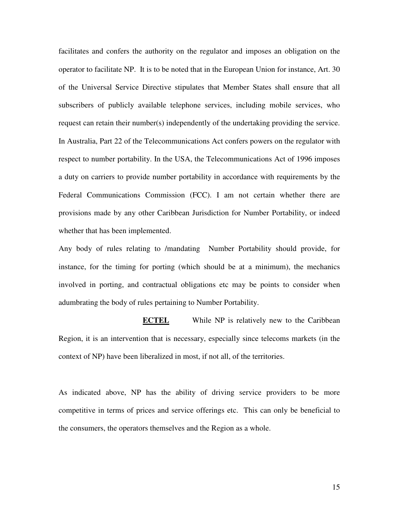facilitates and confers the authority on the regulator and imposes an obligation on the operator to facilitate NP. It is to be noted that in the European Union for instance, Art. 30 of the Universal Service Directive stipulates that Member States shall ensure that all subscribers of publicly available telephone services, including mobile services, who request can retain their number(s) independently of the undertaking providing the service. In Australia, Part 22 of the Telecommunications Act confers powers on the regulator with respect to number portability. In the USA, the Telecommunications Act of 1996 imposes a duty on carriers to provide number portability in accordance with requirements by the Federal Communications Commission (FCC). I am not certain whether there are provisions made by any other Caribbean Jurisdiction for Number Portability, or indeed whether that has been implemented.

Any body of rules relating to /mandating Number Portability should provide, for instance, for the timing for porting (which should be at a minimum), the mechanics involved in porting, and contractual obligations etc may be points to consider when adumbrating the body of rules pertaining to Number Portability.

**ECTEL** While NP is relatively new to the Caribbean Region, it is an intervention that is necessary, especially since telecoms markets (in the context of NP) have been liberalized in most, if not all, of the territories.

As indicated above, NP has the ability of driving service providers to be more competitive in terms of prices and service offerings etc. This can only be beneficial to the consumers, the operators themselves and the Region as a whole.